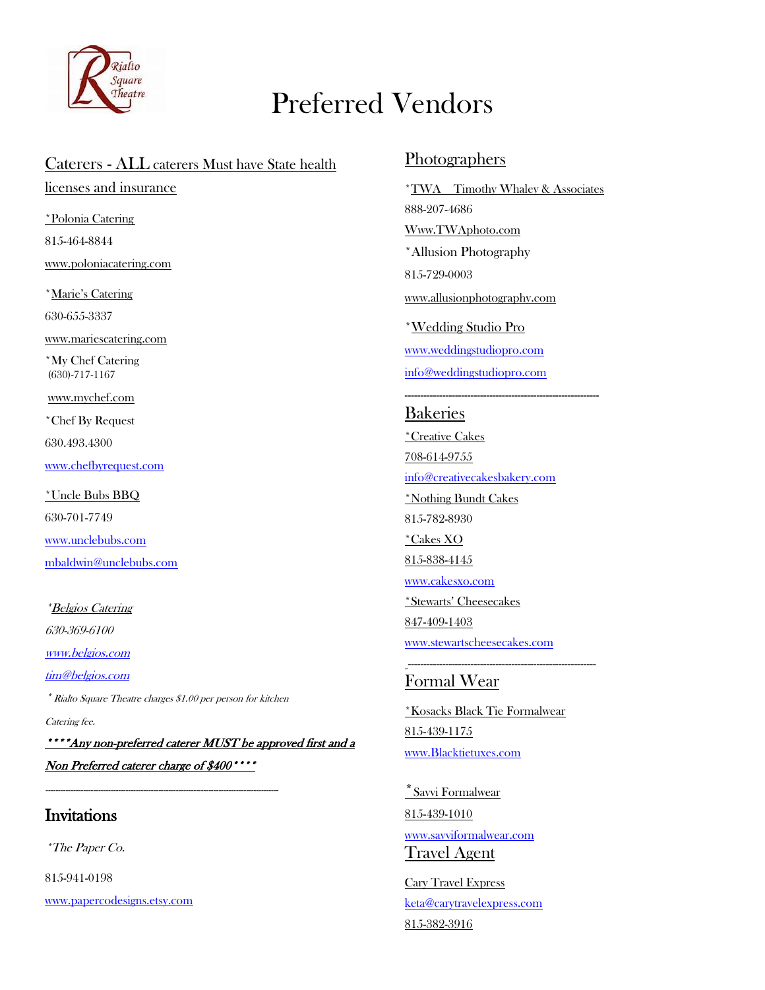

## Preferred Vendors

## Caterers - ALL caterers Must have State health

licenses and insurance

\*Polonia Catering 815-464-8844 [www.poloniacatering.com](http://www.poloniacatering.com/)

\*Marie's Catering 630-655-3337

[www.mariescatering.com](http://www.mariescatering.com/)

\*My Chef Catering (630)-717-1167

[www.mychef.com](http://www.mychef.com/)

\*Chef By Request

630.493.4300

[www.chefbyrequest.com](http://www.chefbyrequest.com/)

\*Uncle Bubs BBQ 630-701-7749 [www.unclebubs.com](http://www.unclebubs.com/) [mbaldwin@unclebubs.com](mailto:mbaldwin@unclebubs.com)

\*Belgios Catering

630-369-6100

[www.belgios.com](http://www.belgios.com/)

[tim@belgios.com](mailto:tim@belgios.com)

\* Rialto Square Theatre charges \$1.00 per person for kitchen

---------------------------------------------------------------------------------------------

Catering fee.

\*\*\*\*Any non-preferred caterer MUST be approved first and a Non Preferred caterer charge of \$400\*\*\*\*

### **Invitations**

\*The Paper Co.

815-941-0198

[www.papercodesigns.etsy.com](http://www.papercodesigns.etsy.com/)

#### Photographers

\*TWA Timothy Whaley & Associates 888-207-4686 Www.TWAphoto.com \*Allusion Photography 815-729-0003 [www.allusionphotography.com](http://www.allusionphotography.com/) \*Wedding Studio Pro [www.weddingstudiopro.com](http://www.weddingstudiopro.com/) [info@weddingstudiopro.com](mailto:info@weddingstudiopro.com)

--------------------------------------------------------------

#### Bakeries

\*Creative Cakes 708-614-9755 [info@creativecakesbakery.com](mailto:info@creativecakesbakery.com) \*Nothing Bundt Cakes 815-782-8930 \*Cakes XO 815-838-4145 [www.cakesxo.com](http://www.cakesxo.com/) \*Stewarts' Cheesecakes 847-409-1403 [www.stewartscheesecakes.com](http://www.stewartscheesecakes.com/)

#### Formal Wear

\*Kosacks Black Tie Formalwear 815-439-1175 [www.Blacktietuxes.com](http://www.blacktietuxes.com/)

------------------------------------------------------------

\*Savvi Formalwear 815-439-1010 [www.savviformalwear.com](http://www.savviformalwear.com/) Travel Agent

Cary Travel Express [keta@carytravelexpress.com](mailto:keta@carytravelexpress.com) 815-382-3916